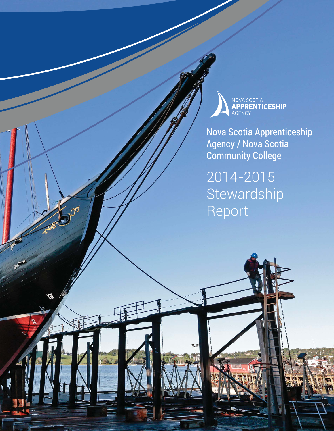

Nova Scotia Apprenticeship Agency / Nova Scotia Community College

 $S_{\text{max}}$  and  $S_{\text{max}}$ 

2014-2015 **Stewardship** Report

J

W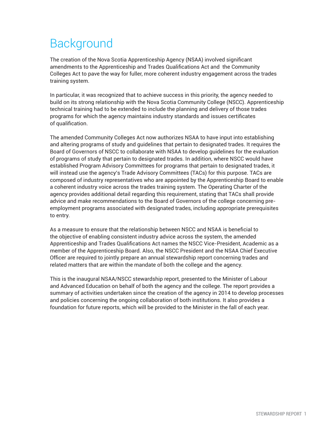# **Background**

The creation of the Nova Scotia Apprenticeship Agency (NSAA) involved significant amendments to the Apprenticeship and Trades Qualifications Act and the Community Colleges Act to pave the way for fuller, more coherent industry engagement across the trades training system.

In particular, it was recognized that to achieve success in this priority, the agency needed to build on its strong relationship with the Nova Scotia Community College (NSCC). Apprenticeship technical training had to be extended to include the planning and delivery of those trades programs for which the agency maintains industry standards and issues certificates of qualification.

The amended Community Colleges Act now authorizes NSAA to have input into establishing and altering programs of study and guidelines that pertain to designated trades. It requires the Board of Governors of NSCC to collaborate with NSAA to develop guidelines for the evaluation of programs of study that pertain to designated trades. In addition, where NSCC would have established Program Advisory Committees for programs that pertain to designated trades, it will instead use the agency's Trade Advisory Committees (TACs) for this purpose. TACs are composed of industry representatives who are appointed by the Apprenticeship Board to enable a coherent industry voice across the trades training system. The Operating Charter of the agency provides additional detail regarding this requirement, stating that TACs shall provide advice and make recommendations to the Board of Governors of the college concerning preemployment programs associated with designated trades, including appropriate prerequisites to entry.

As a measure to ensure that the relationship between NSCC and NSAA is beneficial to the objective of enabling consistent industry advice across the system, the amended Apprenticeship and Trades Qualifications Act names the NSCC Vice-President, Academic as a member of the Apprenticeship Board. Also, the NSCC President and the NSAA Chief Executive Officer are required to jointly prepare an annual stewardship report concerning trades and related matters that are within the mandate of both the college and the agency.

This is the inaugural NSAA/NSCC stewardship report, presented to the Minister of Labour and Advanced Education on behalf of both the agency and the college. The report provides a summary of activities undertaken since the creation of the agency in 2014 to develop processes and policies concerning the ongoing collaboration of both institutions. It also provides a foundation for future reports, which will be provided to the Minister in the fall of each year.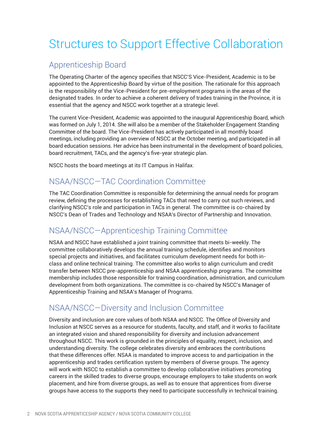# Structures to Support Effective Collaboration

## Apprenticeship Board

The Operating Charter of the agency specifies that NSCC'S Vice-President, Academic is to be appointed to the Apprenticeship Board by virtue of the position. The rationale for this approach is the responsibility of the Vice-President for pre-employment programs in the areas of the designated trades. In order to achieve a coherent delivery of trades training in the Province, it is essential that the agency and NSCC work together at a strategic level.

The current Vice-President, Academic was appointed to the inaugural Apprenticeship Board, which was formed on July 1, 2014. She will also be a member of the Stakeholder Engagement Standing Committee of the board. The Vice-President has actively participated in all monthly board meetings, including providing an overview of NSCC at the October meeting, and participated in all board education sessions. Her advice has been instrumental in the development of board policies, board recruitment, TACs, and the agency's five-year strategic plan.

NSCC hosts the board meetings at its IT Campus in Halifax.

### NSAA/NSCC—TAC Coordination Committee

The TAC Coordination Committee is responsible for determining the annual needs for program review, defining the processes for establishing TACs that need to carry out such reviews, and clarifying NSCC's role and participation in TACs in general. The committee is co-chaired by NSCC's Dean of Trades and Technology and NSAA's Director of Partnership and Innovation.

## NSAA/NSCC—Apprenticeship Training Committee

NSAA and NSCC have established a joint training committee that meets bi-weekly. The committee collaboratively develops the annual training schedule, identifies and monitors special projects and initiatives, and facilitates curriculum development needs for both inclass and online technical training. The committee also works to align curriculum and credit transfer between NSCC pre-apprenticeship and NSAA apprenticeship programs. The committee membership includes those responsible for training coordination, administration, and curriculum development from both organizations. The committee is co-chaired by NSCC's Manager of Apprenticeship Training and NSAA's Manager of Programs.

## NSAA/NSCC—Diversity and Inclusion Committee

Diversity and inclusion are core values of both NSAA and NSCC. The Office of Diversity and Inclusion at NSCC serves as a resource for students, faculty, and staff, and it works to facilitate an integrated vision and shared responsibility for diversity and inclusion advancement throughout NSCC. This work is grounded in the principles of equality, respect, inclusion, and understanding diversity. The college celebrates diversity and embraces the contributions that these differences offer. NSAA is mandated to improve access to and participation in the apprenticeship and trades certification system by members of diverse groups. The agency will work with NSCC to establish a committee to develop collaborative initiatives promoting careers in the skilled trades to diverse groups, encourage employers to take students on work placement, and hire from diverse groups, as well as to ensure that apprentices from diverse groups have access to the supports they need to participate successfully in technical training.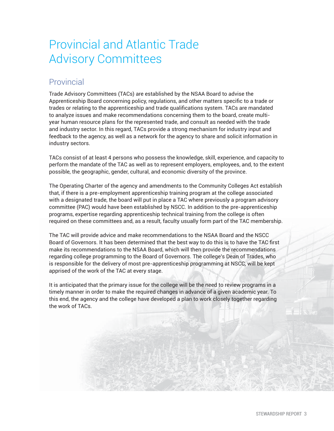## Provincial and Atlantic Trade Advisory Committees

### Provincial

Trade Advisory Committees (TACs) are established by the NSAA Board to advise the Apprenticeship Board concerning policy, regulations, and other matters specific to a trade or trades or relating to the apprenticeship and trade qualifications system. TACs are mandated to analyze issues and make recommendations concerning them to the board, create multiyear human resource plans for the represented trade, and consult as needed with the trade and industry sector. In this regard, TACs provide a strong mechanism for industry input and feedback to the agency, as well as a network for the agency to share and solicit information in industry sectors.

TACs consist of at least 4 persons who possess the knowledge, skill, experience, and capacity to perform the mandate of the TAC as well as to represent employers, employees, and, to the extent possible, the geographic, gender, cultural, and economic diversity of the province.

The Operating Charter of the agency and amendments to the Community Colleges Act establish that, if there is a pre-employment apprenticeship training program at the college associated with a designated trade, the board will put in place a TAC where previously a program advisory committee (PAC) would have been established by NSCC. In addition to the pre-apprenticeship programs, expertise regarding apprenticeship technical training from the college is often required on these committees and, as a result, faculty usually form part of the TAC membership.

The TAC will provide advice and make recommendations to the NSAA Board and the NSCC Board of Governors. It has been determined that the best way to do this is to have the TAC first make its recommendations to the NSAA Board, which will then provide the recommendations regarding college programming to the Board of Governors. The college's Dean of Trades, who is responsible for the delivery of most pre-apprenticeship programming at NSCC, will be kept apprised of the work of the TAC at every stage.

It is anticipated that the primary issue for the college will be the need to review programs in a timely manner in order to make the required changes in advance of a given academic year. To this end, the agency and the college have developed a plan to work closely together regarding the work of TACs.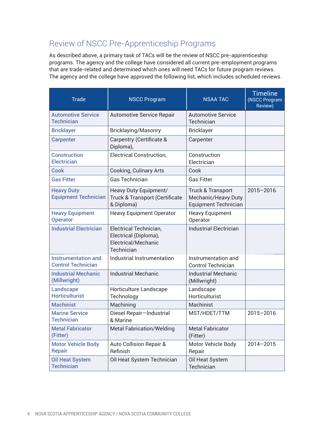## Review of NSCC Pre-Apprenticeship Programs

As described above, a primary task of TACs will be the review of NSCC pre-apprenticeship programs. The agency and the college have considered all current pre-employment programs that are trade-related and determined which ones will need TACs for future program reviews. The agency and the college have approved the following list, which includes scheduled reviews.

| <b>Trade</b>                                            | <b>NSCC Program</b>                                                                  | <b>NSAA TAC</b>                                                                    | <b>Timeline</b><br>(NSCC Program<br>Review) |
|---------------------------------------------------------|--------------------------------------------------------------------------------------|------------------------------------------------------------------------------------|---------------------------------------------|
| <b>Automotive Service</b><br><b>Technician</b>          | <b>Automotive Service Repair</b>                                                     | <b>Automotive Service</b><br>Technician                                            |                                             |
| <b>Bricklayer</b>                                       | <b>Bricklaying/Masonry</b>                                                           | <b>Bricklayer</b>                                                                  |                                             |
| <b>Carpenter</b>                                        | Carpentry (Certificate &<br>Diploma),                                                | Carpenter                                                                          |                                             |
| <b>Construction</b><br><b>Electrician</b>               | <b>Electrical Construction,</b>                                                      | Construction<br>Electrician                                                        |                                             |
| <b>Cook</b>                                             | <b>Cooking, Culinary Arts</b>                                                        | Cook                                                                               |                                             |
| <b>Gas Fitter</b>                                       | <b>Gas Technician</b>                                                                | <b>Gas Fitter</b>                                                                  |                                             |
| <b>Heavy Duty</b><br><b>Equipment Technician</b>        | Heavy Duty Equipment/<br><b>Truck &amp; Transport (Certificate</b><br>& Diploma)     | <b>Truck &amp; Transport</b><br>Mechanic/Heavy Duty<br><b>Equipment Technician</b> | $2015 - 2016$                               |
| <b>Heavy Equipment</b><br><b>Operator</b>               | <b>Heavy Equipment Operator</b>                                                      | <b>Heavy Equipment</b><br>Operator                                                 |                                             |
| <b>Industrial Electrician</b>                           | Electrical Technician,<br>Electrical (Diploma),<br>Electrical/Mechanic<br>Technician | <b>Industrial Electrician</b>                                                      |                                             |
| <b>Instrumentation and</b><br><b>Control Technician</b> | Industrial Instrumentation                                                           | Instrumentation and<br><b>Control Technician</b>                                   |                                             |
| <b>Industrial Mechanic</b><br>(Millwright)              | <b>Industrial Mechanic</b>                                                           | <b>Industrial Mechanic</b><br>(Millwright)                                         |                                             |
| <b>Landscape</b><br><b>Horticulturist</b>               | Horticulture Landscape<br>Technology                                                 | Landscape<br>Horticulturist                                                        |                                             |
| <b>Machinist</b>                                        | Machining                                                                            | Machinist                                                                          |                                             |
| <b>Marine Service</b><br><b>Technician</b>              | Diesel Repair-Industrial<br>& Marine                                                 | MST/HDET/TTM                                                                       | 2015-2016                                   |
| <b>Metal Fabricator</b><br>(Fitter)                     | <b>Metal Fabrication/Welding</b>                                                     | <b>Metal Fabricator</b><br>(Fitter)                                                |                                             |
| <b>Motor Vehicle Body</b><br><b>Repair</b>              | <b>Auto Collision Repair &amp;</b><br>Refinish                                       | Motor Vehicle Body<br>Repair                                                       | $2014 - 2015$                               |
| <b>Oil Heat System</b><br><b>Technician</b>             | Oil Heat System Technician                                                           | Oil Heat System<br>Technician                                                      |                                             |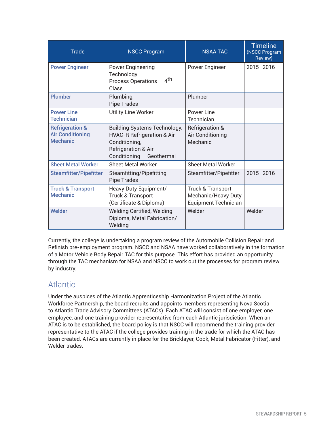| <b>Trade</b>                                                             | <b>NSCC Program</b>                                                                                                                               | <b>NSAA TAC</b>                                                                    | <b>Timeline</b><br>(NSCC Program<br>Review) |
|--------------------------------------------------------------------------|---------------------------------------------------------------------------------------------------------------------------------------------------|------------------------------------------------------------------------------------|---------------------------------------------|
| <b>Power Engineer</b>                                                    | <b>Power Engineering</b><br>Technology<br>Process Operations - 4 <sup>th</sup><br>Class                                                           | Power Engineer                                                                     | $2015 - 2016$                               |
| <b>Plumber</b>                                                           | Plumbing,<br><b>Pipe Trades</b>                                                                                                                   | Plumber                                                                            |                                             |
| <b>Power Line</b><br><b>Technician</b>                                   | <b>Utility Line Worker</b>                                                                                                                        | Power Line<br>Technician                                                           |                                             |
| <b>Refrigeration &amp;</b><br><b>Air Conditioning</b><br><b>Mechanic</b> | <b>Building Systems Technology:</b><br><b>HVAC-R Refrigeration &amp; Air</b><br>Conditioning,<br>Refrigeration & Air<br>Conditioning - Geothermal | <b>Refrigeration &amp;</b><br>Air Conditioning<br>Mechanic                         |                                             |
| <b>Sheet Metal Worker</b>                                                | Sheet Metal Worker                                                                                                                                | <b>Sheet Metal Worker</b>                                                          |                                             |
| <b>Steamfitter/Pipefitter</b>                                            | Steamfitting/Pipefitting<br><b>Pipe Trades</b>                                                                                                    | Steamfitter/Pipefitter                                                             | $2015 - 2016$                               |
| <b>Truck &amp; Transport</b><br><b>Mechanic</b>                          | Heavy Duty Equipment/<br>Truck & Transport<br>(Certificate & Diploma)                                                                             | <b>Truck &amp; Transport</b><br>Mechanic/Heavy Duty<br><b>Equipment Technician</b> |                                             |
| <b>Welder</b>                                                            | Welding Certified, Welding<br>Diploma, Metal Fabrication/<br>Welding                                                                              | Welder                                                                             | Welder                                      |

Currently, the college is undertaking a program review of the Automobile Collision Repair and Refinish pre-employment program. NSCC and NSAA have worked collaboratively in the formation of a Motor Vehicle Body Repair TAC for this purpose. This effort has provided an opportunity through the TAC mechanism for NSAA and NSCC to work out the processes for program review by industry.

### **Atlantic**

Under the auspices of the Atlantic Apprenticeship Harmonization Project of the Atlantic Workforce Partnership, the board recruits and appoints members representing Nova Scotia to Atlantic Trade Advisory Committees (ATACs). Each ATAC will consist of one employer, one employee, and one training provider representative from each Atlantic jurisdiction. When an ATAC is to be established, the board policy is that NSCC will recommend the training provider representative to the ATAC if the college provides training in the trade for which the ATAC has been created. ATACs are currently in place for the Bricklayer, Cook, Metal Fabricator (Fitter), and Welder trades.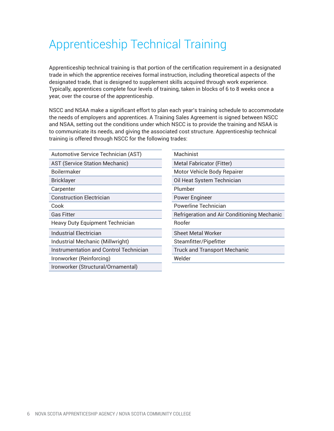# Apprenticeship Technical Training

Apprenticeship technical training is that portion of the certification requirement in a designated trade in which the apprentice receives formal instruction, including theoretical aspects of the designated trade, that is designed to supplement skills acquired through work experience. Typically, apprentices complete four levels of training, taken in blocks of 6 to 8 weeks once a year, over the course of the apprenticeship.

NSCC and NSAA make a significant effort to plan each year's training schedule to accommodate the needs of employers and apprentices. A Training Sales Agreement is signed between NSCC and NSAA, setting out the conditions under which NSCC is to provide the training and NSAA is to communicate its needs, and giving the associated cost structure. Apprenticeship technical training is offered through NSCC for the following trades:

| Automotive Service Technician (AST)           | Machinist                                   |
|-----------------------------------------------|---------------------------------------------|
| <b>AST (Service Station Mechanic)</b>         | <b>Metal Fabricator (Fitter)</b>            |
| <b>Boilermaker</b>                            | <b>Motor Vehicle Body Repairer</b>          |
| <b>Bricklayer</b>                             | Oil Heat System Technician                  |
| Carpenter                                     | Plumber                                     |
| <b>Construction Electrician</b>               | <b>Power Engineer</b>                       |
| Cook                                          | Powerline Technician                        |
| <b>Gas Fitter</b>                             | Refrigeration and Air Conditioning Mechanic |
| <b>Heavy Duty Equipment Technician</b>        | Roofer                                      |
| <b>Industrial Electrician</b>                 | <b>Sheet Metal Worker</b>                   |
| Industrial Mechanic (Millwright)              | Steamfitter/Pipefitter                      |
| <b>Instrumentation and Control Technician</b> | <b>Truck and Transport Mechanic</b>         |
| Ironworker (Reinforcing)                      | Welder                                      |
| Ironworker (Structural/Ornamental)            |                                             |
|                                               |                                             |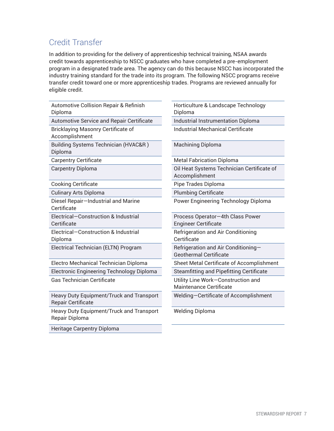### Credit Transfer

In addition to providing for the delivery of apprenticeship technical training, NSAA awards credit towards apprenticeship to NSCC graduates who have completed a pre-employment program in a designated trade area. The agency can do this because NSCC has incorporated the industry training standard for the trade into its program. The following NSCC programs receive transfer credit toward one or more apprenticeship trades. Programs are reviewed annually for eligible credit.

| <b>Automotive Collision Repair &amp; Refinish</b><br>Diploma   | Horticulture & Landscape Technology<br>Diploma                       |  |
|----------------------------------------------------------------|----------------------------------------------------------------------|--|
| <b>Automotive Service and Repair Certificate</b>               | <b>Industrial Instrumentation Diploma</b>                            |  |
| Bricklaying Masonry Certificate of<br>Accomplishment           | <b>Industrial Mechanical Certificate</b>                             |  |
| Building Systems Technician (HVAC&R )<br>Diploma               | <b>Machining Diploma</b>                                             |  |
| <b>Carpentry Certificate</b>                                   | <b>Metal Fabrication Diploma</b>                                     |  |
| <b>Carpentry Diploma</b>                                       | Oil Heat Systems Technician Certificate of<br>Accomplishment         |  |
| <b>Cooking Certificate</b>                                     | Pipe Trades Diploma                                                  |  |
| Culinary Arts Diploma                                          | <b>Plumbing Certificate</b>                                          |  |
| Diesel Repair—Industrial and Marine<br>Certificate             | Power Engineering Technology Diploma                                 |  |
| Electrical-Construction & Industrial<br>Certificate            | Process Operator-4th Class Power<br><b>Engineer Certificate</b>      |  |
| Electrical-Construction & Industrial<br>Diploma                | Refrigeration and Air Conditioning<br>Certificate                    |  |
| Electrical Technician (ELTN) Program                           | Refrigeration and Air Conditioning-<br><b>Geothermal Certificate</b> |  |
| Electro Mechanical Technician Diploma                          | Sheet Metal Certificate of Accomplishment                            |  |
| Electronic Engineering Technology Diploma                      | <b>Steamfitting and Pipefitting Certificate</b>                      |  |
| Gas Technician Certificate                                     | Utility Line Work-Construction and<br><b>Maintenance Certificate</b> |  |
| Heavy Duty Equipment/Truck and Transport<br>Repair Certificate | Welding-Certificate of Accomplishment                                |  |
| Heavy Duty Equipment/Truck and Transport<br>Repair Diploma     | <b>Welding Diploma</b>                                               |  |

Heritage Carpentry Diploma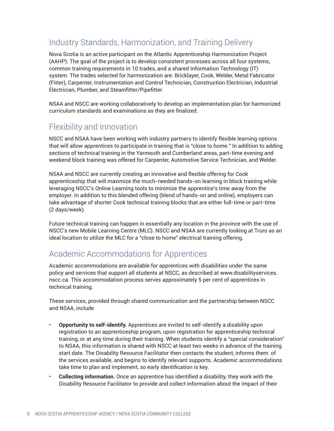## Industry Standards, Harmonization, and Training Delivery

Nova Scotia is an active participant on the Atlantic Apprenticeship Harmonization Project (AAHP). The goal of the project is to develop consistent processes across all four systems, common training requirements in 10 trades, and a shared Information Technology (IT) system. The trades selected for harmonization are: Bricklayer, Cook, Welder, Metal Fabricator (Fitter), Carpenter, Instrumentation and Control Technician, Construction Electrician, Industrial Electrician, Plumber, and Steamfitter/Pipefitter.

NSAA and NSCC are working collaboratively to develop an implementation plan for harmonized curriculum standards and examinations as they are finalized.

### Flexibility and Innovation

NSCC and NSAA have been working with industry partners to identify flexible learning options that will allow apprentices to participate in training that is "close to home." In addition to adding sections of technical training in the Yarmouth and Cumberland areas, part-time evening and weekend block training was offered for Carpenter, Automotive Service Technician, and Welder.

NSAA and NSCC are currently creating an innovative and flexible offering for Cook apprenticeship that will maximize the much-needed hands-on learning in block training while leveraging NSCC's Online Learning tools to minimize the apprentice's time away from the employer. In addition to this blended offering (blend of hands-on and online), employers can take advantage of shorter Cook technical training blocks that are either full-time or part-time (2 days/week).

Future technical training can happen in essentially any location in the province with the use of NSCC's new Mobile Learning Centre (MLC). NSCC and NSAA are currently looking at Truro as an ideal location to utilize the MLC for a "close to home" electrical training offering.

### Academic Accommodations for Apprentices

Academic accommodations are available for apprentices with disabilities under the same policy and services that support all students at NSCC, as described at www.disabilityservices. nscc.ca. This accommodation process serves approximately 5 per cent of apprentices in technical training.

These services, provided through shared communication and the partnership between NSCC and NSAA, include

- **Opportunity to self-identify.** Apprentices are invited to self-identify a disability upon registration to an apprenticeship program, upon registration for apprenticeship technical training, or at any time during their training. When students identify a "special consideration" to NSAA, this information is shared with NSCC at least two weeks in advance of the training start date. The Disability Resource Facilitator then contacts the student, informs them of the services available, and begins to identify relevant supports. Academic accommodations take time to plan and implement, so early identification is key.
- **Collecting information.** Once an apprentice has identified a disability, they work with the Disability Resource Facilitator to provide and collect information about the impact of their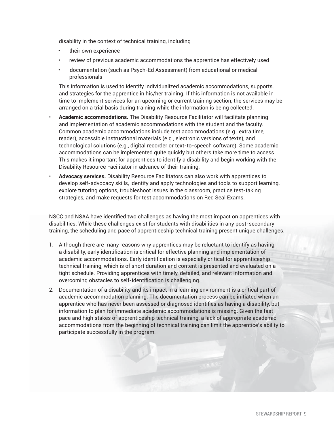disability in the context of technical training, including

- their own experience
- review of previous academic accommodations the apprentice has effectively used
- documentation (such as Psych-Ed Assessment) from educational or medical professionals

 This information is used to identify individualized academic accommodations, supports, and strategies for the apprentice in his/her training. If this information is not available in time to implement services for an upcoming or current training section, the services may be arranged on a trial basis during training while the information is being collected.

- **Academic accommodations.** The Disability Resource Facilitator will facilitate planning and implementation of academic accommodations with the student and the faculty. Common academic accommodations include test accommodations (e.g., extra time, reader), accessible instructional materials (e.g., electronic versions of texts), and technological solutions (e.g., digital recorder or text-to-speech software). Some academic accommodations can be implemented quite quickly but others take more time to access. This makes it important for apprentices to identify a disability and begin working with the Disability Resource Facilitator in advance of their training.
- **Advocacy services.** Disability Resource Facilitators can also work with apprentices to develop self-advocacy skills, identify and apply technologies and tools to support learning, explore tutoring options, troubleshoot issues in the classroom, practice test-taking strategies, and make requests for test accommodations on Red Seal Exams.

NSCC and NSAA have identified two challenges as having the most impact on apprentices with disabilities. While these challenges exist for students with disabilities in any post-secondary training, the scheduling and pace of apprenticeship technical training present unique challenges.

- 1. Although there are many reasons why apprentices may be reluctant to identify as having a disability, early identification is critical for effective planning and implementation of academic accommodations. Early identification is especially critical for apprenticeship technical training, which is of short duration and content is presented and evaluated on a tight schedule. Providing apprentices with timely, detailed, and relevant information and overcoming obstacles to self-identification is challenging.
- 2. Documentation of a disability and its impact in a learning environment is a critical part of academic accommodation planning. The documentation process can be initiated when an apprentice who has never been assessed or diagnosed identifies as having a disability, but information to plan for immediate academic accommodations is missing. Given the fast pace and high stakes of apprenticeship technical training, a lack of appropriate academic accommodations from the beginning of technical training can limit the apprentice's ability to participate successfully in the program.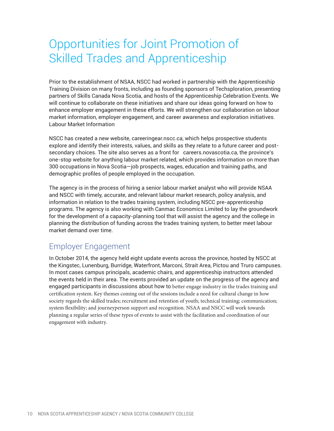## Opportunities for Joint Promotion of Skilled Trades and Apprenticeship

Prior to the establishment of NSAA, NSCC had worked in partnership with the Apprenticeship Training Division on many fronts, including as founding sponsors of Techsploration, presenting partners of Skills Canada Nova Scotia, and hosts of the Apprenticeship Celebration Events. We will continue to collaborate on these initiatives and share our ideas going forward on how to enhance employer engagement in these efforts. We will strengthen our collaboration on labour market information, employer engagement, and career awareness and exploration initiatives. Labour Market Information

NSCC has created a new website, careeringear.nscc.ca, which helps prospective students explore and identify their interests, values, and skills as they relate to a future career and postsecondary choices. The site also serves as a front for careers.novascotia.ca, the province's one-stop website for anything labour market related, which provides information on more than 300 occupations in Nova Scotia—job prospects, wages, education and training paths, and demographic profiles of people employed in the occupation.

The agency is in the process of hiring a senior labour market analyst who will provide NSAA and NSCC with timely, accurate, and relevant labour market research, policy analysis, and information in relation to the trades training system, including NSCC pre-apprenticeship programs. The agency is also working with Canmac Economics Limited to lay the groundwork for the development of a capacity-planning tool that will assist the agency and the college in planning the distribution of funding across the trades training system, to better meet labour market demand over time.

### Employer Engagement

In October 2014, the agency held eight update events across the province, hosted by NSCC at the Kingstec, Lunenburg, Burridge, Waterfront, Marconi, Strait Area, Pictou and Truro campuses. In most cases campus principals, academic chairs, and apprenticeship instructors attended the events held in their area. The events provided an update on the progress of the agency and engaged participants in discussions about how to better engage industry in the trades training and certification system. Key themes coming out of the sessions include a need for cultural change in how society regards the skilled trades; recruitment and retention of youth; technical training; communication; system flexibility; and journeyperson support and recognition. NSAA and NSCC will work towards planning a regular series of these types of events to assist with the facilitation and coordination of our engagement with industry.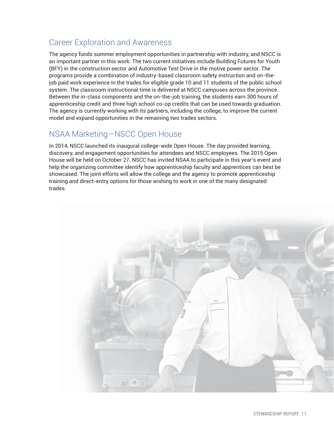### Career Exploration and Awareness

The agency funds summer employment opportunities in partnership with industry, and NSCC is an important partner in this work. The two current initiatives include Building Futures for Youth (BFY) in the construction sector and Automotive Test Drive in the motive power sector. The programs provide a combination of industry-based classroom safety instruction and on-thejob paid work experience in the trades for eligible grade 10 and 11 students of the public school system. The classroom instructional time is delivered at NSCC campuses across the province. Between the in-class components and the on-the-job training, the students earn 300 hours of apprenticeship credit and three high school co-op credits that can be used towards graduation. The agency is currently working with its partners, including the college, to improve the current model and expand opportunities in the remaining two trades sectors.

### NSAA Marketing—NSCC Open House

In 2014, NSCC launched its inaugural college-wide Open House. The day provided learning, discovery, and engagement opportunities for attendees and NSCC employees. The 2015 Open House will be held on October 27. NSCC has invited NSAA to participate in this year's event and help the organizing committee identify how apprenticeship faculty and apprentices can best be showcased. The joint efforts will allow the college and the agency to promote apprenticeship training and direct-entry options for those wishing to work in one of the many designated trades.

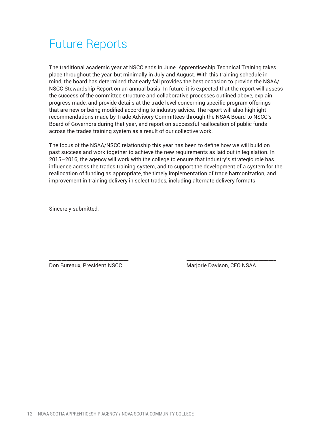## Future Reports

The traditional academic year at NSCC ends in June. Apprenticeship Technical Training takes place throughout the year, but minimally in July and August. With this training schedule in mind, the board has determined that early fall provides the best occasion to provide the NSAA/ NSCC Stewardship Report on an annual basis. In future, it is expected that the report will assess the success of the committee structure and collaborative processes outlined above, explain progress made, and provide details at the trade level concerning specific program offerings that are new or being modified according to industry advice. The report will also highlight recommendations made by Trade Advisory Committees through the NSAA Board to NSCC's Board of Governors during that year, and report on successful reallocation of public funds across the trades training system as a result of our collective work.

The focus of the NSAA/NSCC relationship this year has been to define how we will build on past success and work together to achieve the new requirements as laid out in legislation. In 2015–2016, the agency will work with the college to ensure that industry's strategic role has influence across the trades training system, and to support the development of a system for the reallocation of funding as appropriate, the timely implementation of trade harmonization, and improvement in training delivery in select trades, including alternate delivery formats.

\_\_\_\_\_\_\_\_\_\_\_\_\_\_\_\_\_\_\_\_\_\_\_\_\_\_\_\_\_\_\_\_ \_\_\_\_\_\_\_\_\_\_\_\_\_\_\_\_\_\_\_\_\_\_\_\_\_\_\_\_\_\_\_\_\_\_\_\_

Sincerely submitted,

Don Bureaux, President NSCC and Mariorie Davison, CEO NSAA